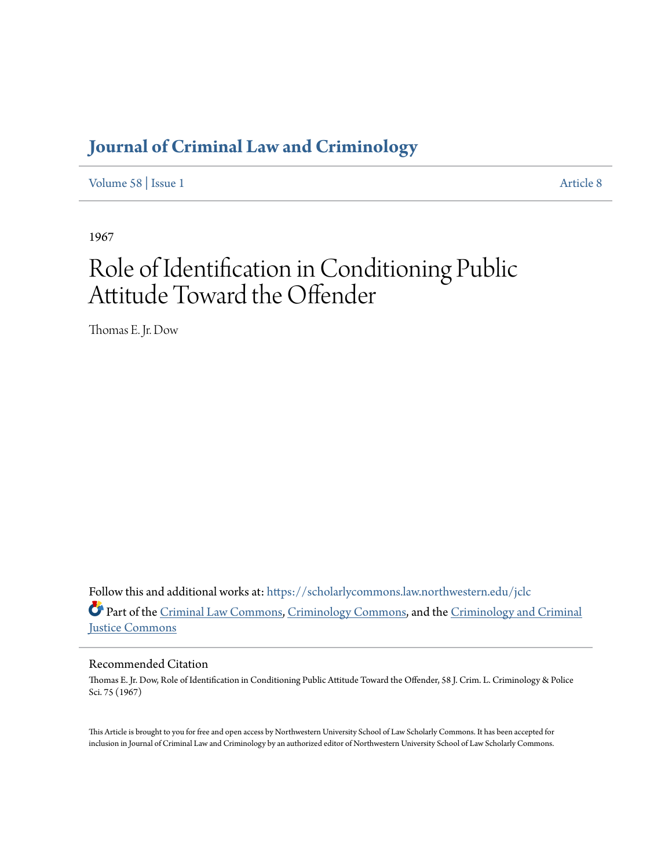## **[Journal of Criminal Law and Criminology](https://scholarlycommons.law.northwestern.edu/jclc?utm_source=scholarlycommons.law.northwestern.edu%2Fjclc%2Fvol58%2Fiss1%2F8&utm_medium=PDF&utm_campaign=PDFCoverPages)**

[Volume 58](https://scholarlycommons.law.northwestern.edu/jclc/vol58?utm_source=scholarlycommons.law.northwestern.edu%2Fjclc%2Fvol58%2Fiss1%2F8&utm_medium=PDF&utm_campaign=PDFCoverPages) | [Issue 1](https://scholarlycommons.law.northwestern.edu/jclc/vol58/iss1?utm_source=scholarlycommons.law.northwestern.edu%2Fjclc%2Fvol58%2Fiss1%2F8&utm_medium=PDF&utm_campaign=PDFCoverPages) [Article 8](https://scholarlycommons.law.northwestern.edu/jclc/vol58/iss1/8?utm_source=scholarlycommons.law.northwestern.edu%2Fjclc%2Fvol58%2Fiss1%2F8&utm_medium=PDF&utm_campaign=PDFCoverPages)

1967

# Role of Identification in Conditioning Public Attitude Toward the Offender

Thomas E. Jr. Dow

Follow this and additional works at: [https://scholarlycommons.law.northwestern.edu/jclc](https://scholarlycommons.law.northwestern.edu/jclc?utm_source=scholarlycommons.law.northwestern.edu%2Fjclc%2Fvol58%2Fiss1%2F8&utm_medium=PDF&utm_campaign=PDFCoverPages) Part of the [Criminal Law Commons](http://network.bepress.com/hgg/discipline/912?utm_source=scholarlycommons.law.northwestern.edu%2Fjclc%2Fvol58%2Fiss1%2F8&utm_medium=PDF&utm_campaign=PDFCoverPages), [Criminology Commons](http://network.bepress.com/hgg/discipline/417?utm_source=scholarlycommons.law.northwestern.edu%2Fjclc%2Fvol58%2Fiss1%2F8&utm_medium=PDF&utm_campaign=PDFCoverPages), and the [Criminology and Criminal](http://network.bepress.com/hgg/discipline/367?utm_source=scholarlycommons.law.northwestern.edu%2Fjclc%2Fvol58%2Fiss1%2F8&utm_medium=PDF&utm_campaign=PDFCoverPages) [Justice Commons](http://network.bepress.com/hgg/discipline/367?utm_source=scholarlycommons.law.northwestern.edu%2Fjclc%2Fvol58%2Fiss1%2F8&utm_medium=PDF&utm_campaign=PDFCoverPages)

### Recommended Citation

Thomas E. Jr. Dow, Role of Identification in Conditioning Public Attitude Toward the Offender, 58 J. Crim. L. Criminology & Police Sci. 75 (1967)

This Article is brought to you for free and open access by Northwestern University School of Law Scholarly Commons. It has been accepted for inclusion in Journal of Criminal Law and Criminology by an authorized editor of Northwestern University School of Law Scholarly Commons.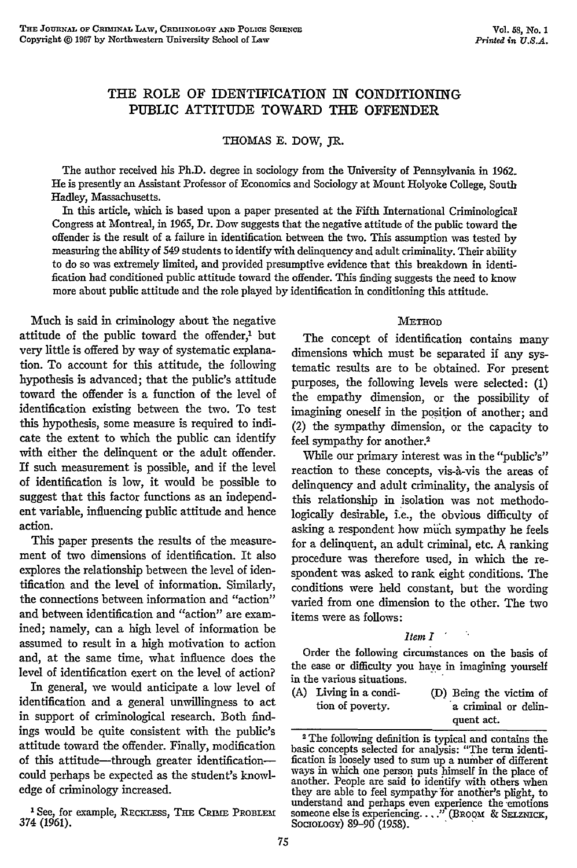#### THE ROLE OF IDENTIFICATION IN CONDITIONING PUBLIC ATTITUDE TOWARD THE OFFENDER

#### THOMAS E. DOW, JR.

The author received his Ph.D. degree in sociology from the University of Pennsylvania in 1962. He is presently an Assistant Professor of Economics and Sociology at Mount Holyoke College, South Hadley, Massachusetts.

In this article, which is based upon a paper presented at the Fifth International Criminological Congress at Montreal, in 1965, Dr. Dow suggests that the negative attitude of the public toward the offender is the result of a failure in identification between the two. This assumption was tested by measuring the ability of 549 students to identify with delinquency and adult criminality. Their ability to do so was extremely limited, and provided presumptive evidence that this breakdown in identification had conditioned public attitude toward the offender. This finding suggests the need to know more about public attitude and the role played by identification in conditioning this attitude.

Much is said in criminology about *the* negative attitude of the public toward the offender,<sup>1</sup> but very little is offered by way of systematic explanation. To account for this attitude, the following hypothesis is advanced; that the public's attitude toward the offender is a function of the level of identification existing between the two. To test this hypothesis, some measure is required to indicate the extent to which the public can identify with either the delinquent or the adult offender. If such measurement is possible, and if the level of identification is low, it would be possible to suggest that this factor functions as an independent variable, influencing public attitude and hence action.

This paper presents the results of the measurement of two dimensions of identification. It also explores the relationship between the level of identification and the level of information. Similarly, the connections between information and "action" and between identification and "action" are examined; namely, can a high level of information be assumed to result in a high motivation to action and, at the same time, what influence does the level of identification exert on the level of action?

In general, we would anticipate a low level of identification and a general unwillingness to act in support of criminological research. Both findings would be quite consistent with the public's attitude toward the offender. Finally, modification of this attitude—through greater identification could perhaps be expected as the student's knowledge of criminology increased.

1 See, for example, REcKLiSs, **THE CRIME** PROBLEM 374 (1961).

#### METHOD

The concept of identification contains many dimensions which must be separated if any systematic results are to be obtained. For present purposes, the following levels were selected: **(1)** the empathy dimension, or the possibility of imagining oneself in the position of another; and (2) the sympathy dimension, or the capacity to feel sympathy for another.2

While our primary interest was in the "public's" reaction to these concepts, vis-&-vis the areas of delinquency and adult criminality, the analysis of this relationship in isolation was not methodologically desirable, i.e., the obvious difficulty of asking a respondent how much sympathy he feels for a delinquent, an adult criminal, etc. A ranking procedure was therefore used, in which the respondent was asked to rank eight conditions. The conditions were held constant, but the wording varied from one dimension to the other. The two items were as follows:

#### *lten I*

Order the following circumstances on the basis of the ease or difficulty you have in imagining yourself in the various situations.

| $(A)$ Living in a condi- | (D) Being the victim of |
|--------------------------|-------------------------|
| tion of poverty.         | a criminal or delin-    |
|                          | quent act.              |

<sup>2</sup> **The** following definition is typical and contains the basic concepts selected for analysis: "The term identification is loosely used to sum up a number of different ways in which one person puts himself in the place of another. People are said to ideritify with others when they are able to feel sympathy **for** another's plight, to understand and perhaps even experience the emotions<br>someone else is experiencing. .. . " (Broom & SELZNICK, **SOCIOLOGY)** 89-90 (1958).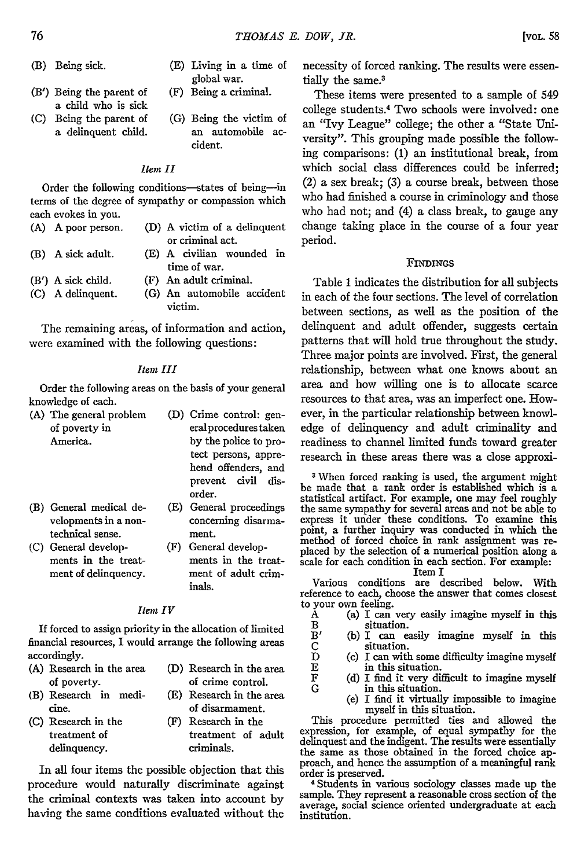- (B) Being sick. (E) Living in a time of
- (B') Being the parent of (F) Being a criminal. a child who is sick
- **(C)** Being the parent of (G) Being the victim of a delinquent child. an automobile ac-

#### *Item II*

Order the following conditions-states of being-in terms of the degree of sympathy or compassion which each evokes in you.

- (A) A poor person. (D) A victim of a delinquent (B) A sick adult. or criminal act.
	-
- (B') A sick child. (C) A delinquent.
- victim.

The remaining areas, of information and action, were examined with the following questions:

#### *Item III*

Order the following areas on the basis of your general knowledge of each.

- (A) The general problem (D) Crime control: genof poverty in America.
- (B) General medical developments in a nontechnical sense.
- (C) General developments in the treatment of delinquency.
- eralprocedures taken by the police to protect persons, apprehend offenders, and prevent civil disorder.
- (E) General proceedings concerning disarmament.
- (F) General developments in the treatment of adult criminals.

#### *Item IV*

If forced to assign priority in the allocation of limited financial resources, I would arrange the following areas accordingly.

- (A) Research in the area of poverty.
- (B) Research in medicine.
- (C) Research in the treatment of delinquency. criminals.

(D) Research in the area of crime control. (E) Research in the area of disarmament.

(F) Research in the treatment of adult

In all four items the possible objection that this procedure would naturally discriminate against the criminal contexts was taken into account by having the same conditions evaluated without the

necessity of forced ranking. The results were essentially the same.<sup>3</sup>

These items were presented to a sample of 549 college students.4 Two schools were involved: one an "Ivy League" college; the other a "State University". This grouping made possible the following comparisons: (1) an institutional break, from which social class differences could be inferred; (2) a sex break; (3) a course break, between those who had finished a course in criminology and those who had not; and (4) a class break, to gauge any change taking place in the course of a four year period.

#### FINDINGS

Table 1 indicates the distribution for all subjects in each of the four sections. The level of correlation between sections, as well as the position of the delinquent and adult offender, suggests certain patterns that will hold true throughout the study. Three major points are involved. First, the general relationship, between what one knows about an area and how willing one is to allocate scarce resources to that area, was an imperfect one. However, in the particular relationship between knowledge of delinquency and adult criminality and readiness to channel limited funds toward greater research in these areas there was a close approxi-

<sup>3</sup> When forced ranking is used, the argument might<br>be made that a rank order is established which is a<br>statistical artifact. For example, one may feel roughly<br>the same sympathy for several areas and not be able to<br>express point, a further inquiry was conducted in which the method of forced choice in rank assignment was re-<br>placed by the selection of a numerical position along a<br>scale for each condition in each section. For example:<br>Item I

Various conditions are described below. With reference to each, choose the answer that comes closest

- to your own feeling. A (a) I can very easily imagine myself in this
	- B<br>
	B<br>
	(b) I can e<br>
	C<br>
	C<br>
	in this situation.<br>
	F<br>
	(d) I find it<br>
	G<br>
	in this situation. (b) I can easily imagine myself in this situation.
		- $(C)$  I can with some difficulty imagine myself in this situation.
			- (d) I find it very difficult to imagine myself in this situation.
				- (e) I find it virtually impossible to imagine myself in this situation.

This procedure permitted ties and allowed the expression, for example, of equal sympathy for the delinquest and the indigent. The results were essentially the same as those obtained in the forced choice approach, and hence the assumption of a meaningful rank order is preserved. 4 Students in various sociology classes made up the

sample. They represent a reasonable cross section of the average, social science oriented undergraduate at each institution.

cident.

(E) A civilian wounded in time of war.

global war.

- **(F)** An adult criminal.
	- (G) An automobile accident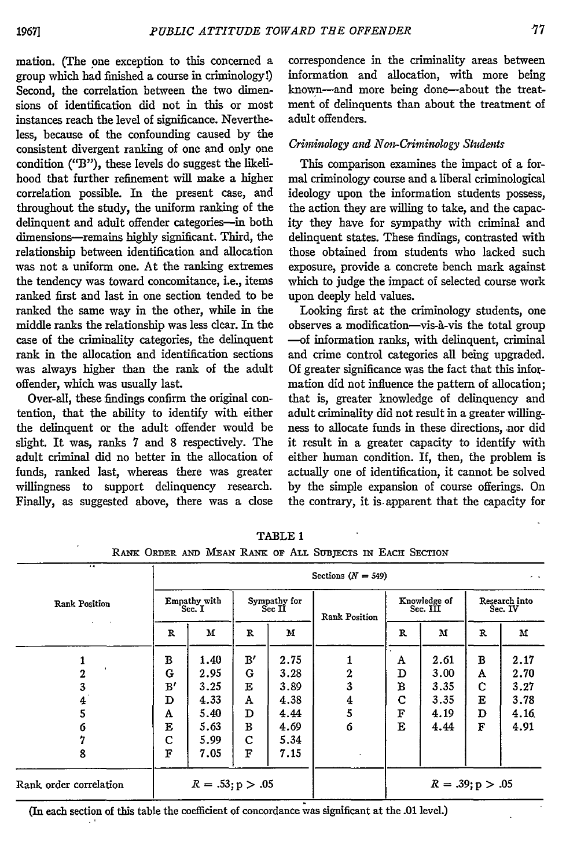consistent divergent ranking of one and only one condition ("B"), these levels do suggest the likelihood that further refinement will make a higher correlation possible. In the present case, and throughout the study, the uniform ranking of the delinquent and adult offender categories-in both dimensions-remains highly significant. Third, the relationship between identification and allocation was not a uniform one. At the ranking extremes the tendency was toward concomitance, i.e., items ranked first and last in one section tended to be ranked the same way in the other, while in the middle ranks the relationship was less dear. In the case of the criminality categories, the delinquent rank in the allocation and identification sections was always higher than the rank of the adult

offender, which was usually last.

Over-all, these findings confirm the original contention, that the ability to identify with either the delinquent or the adult offender would be slight. It was, ranks 7 and 8 respectively. The adult criminal did no better in the allocation of funds, ranked last, whereas there was greater willingness to support delinquency research. Finally, as suggested above, there was a close

#### *Criminology and Nm-Criminology Students*

This comparison examines the impact of a formal criminology course and a liberal criminological ideology upon the information students possess, the action they are willing to take, and the capacity they have for sympathy with criminal and delinquent states. These findings, contrasted with those obtained from students who lacked such exposure, provide a concrete bench mark against which to judge the impact of selected course work upon deeply held values.

Looking first at the criminology students, one observes a modification-vis-A-vis the total group -of information ranks, with delinquent, criminal and crime control categories all being upgraded. **Of** greater significance was the fact that this information did not influence the pattern of allocation; that is, greater knowledge of delinquency and adult criminality did not result in a greater willingness to allocate funds in these directions, nor did it result in a greater capacity to identify with either human condition. **If,** then, the problem is actually one of identification, it cannot be solved **by** the simple expansion of course offerings. On the contrary, it is apparent that the capacity for

|                               | Sections $(N = 549)$<br>$\sigma = \infty$ |                     |                        |      |               |                          |      |                          |      |  |
|-------------------------------|-------------------------------------------|---------------------|------------------------|------|---------------|--------------------------|------|--------------------------|------|--|
| <b>Rank Position</b>          | Empathy with<br>Sec. I                    |                     | Sympathy for<br>Sec II |      | Rank Position | Knowledge of<br>Sec. III |      | Research into<br>Sec. IV |      |  |
| $\bullet$ .<br>$\blacksquare$ | $\mathbb{R}$                              | M                   | R                      | м    |               | R                        | м    | R                        | м    |  |
|                               | в                                         | 1.40                | $\mathbf{B}'$          | 2.75 |               | A                        | 2.61 | B                        | 2.17 |  |
| 2                             | G                                         | 2.95                | G                      | 3.28 | 2             | D                        | 3.00 | A                        | 2.70 |  |
| 3                             | $\mathbf{B}'$                             | 3.25                | Е                      | 3.89 | 3             | В                        | 3.35 | C                        | 3.27 |  |
| 4                             | D                                         | 4.33                | A                      | 4.38 | 4             | C                        | 3.35 | E                        | 3.78 |  |
|                               | A                                         | 5.40                | D                      | 4.44 | 5             | F                        | 4.19 | D                        | 4.16 |  |
|                               | E                                         | 5.63                | в                      | 4.69 | 6             | E                        | 4.44 | F                        | 4.91 |  |
|                               | С                                         | 5.99                | с                      | 5.34 |               |                          |      |                          |      |  |
| 8                             | F                                         | 7.05                | F                      | 7.15 | $\mathbf{x}$  |                          |      |                          |      |  |
| Rank order correlation        |                                           | $R = .53$ ; p > .05 |                        |      |               | $R = .39; p > .05$       |      |                          |      |  |

TABLE 1

RANx ORDER **AND** MEAx RANK op **ALL** SUBJECTS IN EACH SECTION

(In each section of this table the coefficient of concordance was significant at the .01 level.)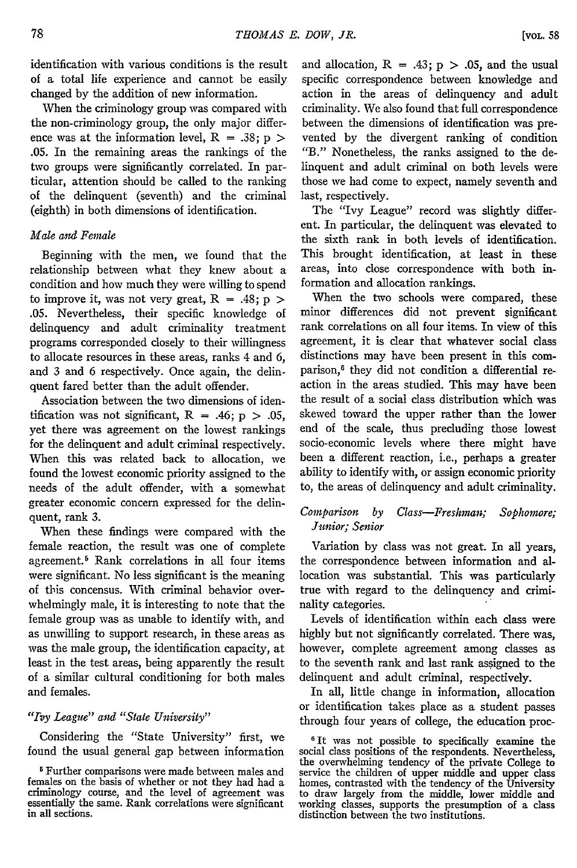identification with various conditions is the result of a total life experience and cannot be easily changed by the addition of new information.

When the criminology group was compared with the non-criminology group, the only major difference was at the information level,  $R = .38$ ;  $p >$ .05. In the remaining areas the rankings of the two groups were significantly correlated. In particular, attention should be called to the ranking of the delinquent (seventh) and the criminal (eighth) in both dimensions of identification.

#### *Male and Female*

Beginning with the men, we found that the relationship between what they knew about a condition and how much they were willing to spend to improve it, was not very great,  $R = .48$ ;  $p >$ .05. Nevertheless, their specific knowledge of delinquency and adult criminality treatment programs corresponded closely to their willingness to allocate resources in these areas, ranks 4 and 6, and 3 and 6 respectively. Once again, the delinquent fared better than the adult offender.

Association between the two dimensions of identification was not significant,  $R = .46$ ;  $p > .05$ , yet there was agreement on the lowest rankings for the delinquent and adult criminal respectively. When this was related back to allocation, we found the lowest economic priority assigned to the needs of the adult offender, with a somewhat greater economic concern expressed for the delinquent, rank 3.

When these findings were compared with the female reaction, the result was one of complete agreement.5 Rank correlations in all four items were significant. No less significant is the meaning of this concensus. With criminal behavior overwhelmingly male, it is interesting to note that the female group was as unable to identify with, and as unwilling to support research, in these areas as was the male group, the identification capacity, at least in the test areas, being apparently the result of a similar cultural conditioning for both males and females.

#### *"Iry League" and "State University"*

Considering the "State University" first, we found the usual general gap between information

and allocation,  $R = .43$ ;  $p > .05$ , and the usual specific correspondence between knowledge and action in the areas of delinquency and adult criminality. We also found that full correspondence between the dimensions of identification was prevented by the divergent ranking of condition "B." Nonetheless, the ranks assigned to the delinquent and adult criminal on both levels were those we had come to expect, namely seventh and last, respectively.

The "Ivy League" record was slightly different. In particular, the delinquent was elevated to the sixth rank in both levels of identification. This brought identification, at least in these areas, into close correspondence with both information and allocation rankings.

When the two schools were compared, these minor differences did not prevent significant rank correlations on all four items. In view of this agreement, it is clear that whatever social class distinctions may have been present in this comparison,<sup>6</sup> they did not condition a differential reaction in the areas studied. This may have been the result of a social class distribution which was skewed toward the upper rather than the lower end of the scale, thus precluding those lowest socio-economic levels where there might have been a different reaction, i.e., perhaps a greater ability to identify with, or assign economic priority to, the areas of delinquency and adult criminality.

#### *Comparison by Class-Freshman; Sophomore; Junior; Senior*

Variation by class was not great. In all years, the correspondence between information and allocation was substantial. This was particularly true with regard to the delinquency and criminality categories.

Levels of identification within each class were highly but not significantly correlated. There was, however, complete agreement among classes as to the seventh rank and last rank assigned to the delinquent and adult criminal, respectively.

In all, little change in information, allocation or identification takes place as a student passes through four years of college, the education proc-

**<sup>6</sup>**It was not possible to specifically examine the social class positions of the respondents. Nevertheless, the overwhelming tendency of the private College to service the children of upper middle and upper class homes, contrasted with the tendency of the University to draw largely from the middle, lower middle and working classes, supports the presumption of a class distinction between the two institutions.

<sup>&</sup>lt;sup>5</sup> Further comparisons were made between males and females on the basis of whether or not they had had a criminology course, and the level of agreement was essentially the same. Rank correlations were significant in all sections.